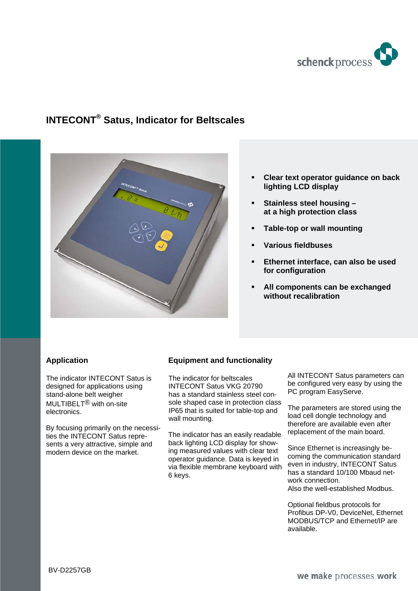

# **INTECONT® Satus, Indicator for Beltscales**



- **Clear text operator guidance on back lighting LCD display**
- **Stainless steel housing at a high protection class**
- **Table-top or wall mounting**
- **Various fieldbuses**
- **Ethernet interface, can also be used for configuration**
- **All components can be exchanged without recalibration**

#### **Application**

The indicator INTECONT Satus is designed for applications using stand-alone belt weigher MULTIBELT® with on-site electronics.

By focusing primarily on the necessities the INTECONT Satus represents a very attractive, simple and modern device on the market.

## **Equipment and functionality**

The indicator for beltscales INTECONT Satus VKG 20790 has a standard stainless steel console shaped case in protection class IP65 that is suited for table-top and wall mounting.

The indicator has an easily readable back lighting LCD display for showing measured values with clear text operator guidance. Data is keyed in via flexible membrane keyboard with 6 keys.

All INTECONT Satus parameters can be configured very easy by using the PC program EasyServe.

The parameters are stored using the load cell dongle technology and therefore are available even after replacement of the main board.

Since Ethernet is increasingly becoming the communication standard even in industry, INTECONT Satus has a standard 10/100 Mbaud network connection. Also the well-established Modbus.

Optional fieldbus protocols for Profibus DP-V0, DeviceNet, Ethernet MODBUS/TCP and Ethernet/IP are available.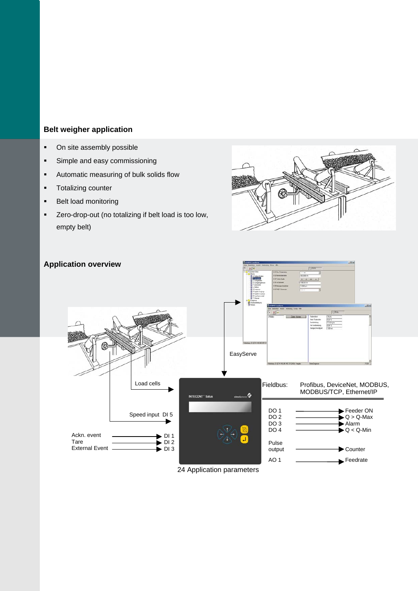# **Belt weigher application**

- On site assembly possible
- **Simple and easy commissioning**
- Automatic measuring of bulk solids flow
- **Totalizing counter**
- **Belt load monitoring**
- Zero-drop-out (no totalizing if belt load is too low, empty belt)





24 Application parameters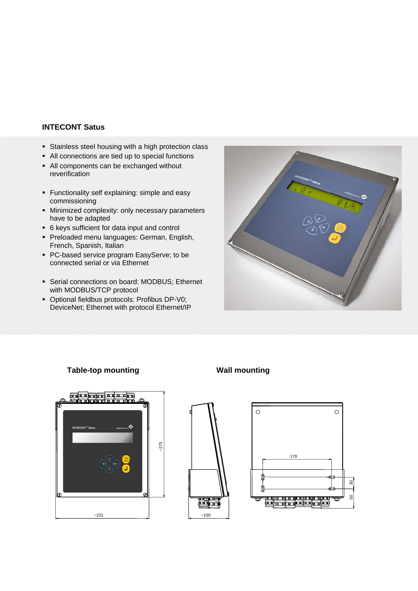## **INTECONT Satus**

- Stainless steel housing with a high protection class
- All connections are tied up to special functions
- All components can be exchanged without reverification
- Functionality self explaining: simple and easy commissioning
- **Minimized complexity: only necessary parameters** have to be adapted
- 6 keys sufficient for data input and control
- **Preloaded menu languages: German, English,** French, Spanish, Italian
- **PC-based service program EasyServe; to be** connected serial or via Ethernet
- Serial connections on board: MODBUS; Ethernet with MODBUS/TCP protocol
- Optional fieldbus protocols: Profibus DP-V0; DeviceNet; Ethernet with protocol Ethernet/IP



#### **Table-top mounting Table-top mounting**





 $~100$ 

黃島



30 50

 $\overline{30}$